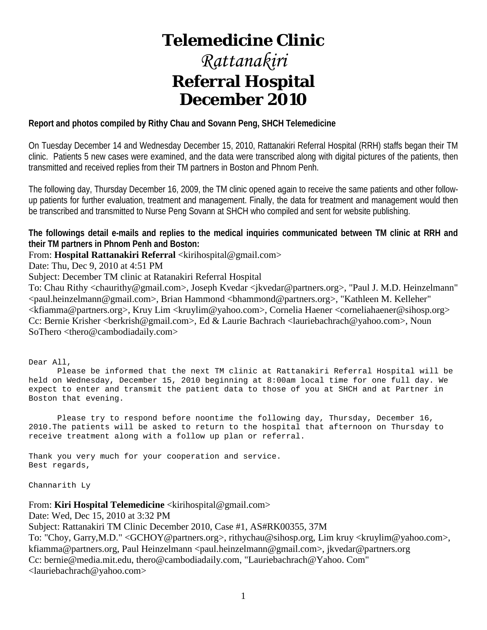# **Telemedicine Clinic**

# *Rattanakiri* **Referral Hospital December 2010**

# **Report and photos compiled by Rithy Chau and Sovann Peng, SHCH Telemedicine**

On Tuesday December 14 and Wednesday December 15, 2010, Rattanakiri Referral Hospital (RRH) staffs began their TM clinic. Patients 5 new cases were examined, and the data were transcribed along with digital pictures of the patients, then transmitted and received replies from their TM partners in Boston and Phnom Penh.

The following day, Thursday December 16, 2009, the TM clinic opened again to receive the same patients and other followup patients for further evaluation, treatment and management. Finally, the data for treatment and management would then be transcribed and transmitted to Nurse Peng Sovann at SHCH who compiled and sent for website publishing.

**The followings detail e-mails and replies to the medical inquiries communicated between TM clinic at RRH and their TM partners in Phnom Penh and Boston:**

From: **Hospital Rattanakiri Referral** <kirihospital@gmail.com>

Date: Thu, Dec 9, 2010 at 4:51 PM

Subject: December TM clinic at Ratanakiri Referral Hospital

To: Chau Rithy <chaurithy@gmail.com>, Joseph Kvedar <jkvedar@partners.org>, "Paul J. M.D. Heinzelmann" <paul.heinzelmann@gmail.com>, Brian Hammond <bhammond@partners.org>, "Kathleen M. Kelleher" <kfiamma@partners.org>, Kruy Lim <kruylim@yahoo.com>, Cornelia Haener <corneliahaener@sihosp.org> Cc: Bernie Krisher <br/>cherkrish@gmail.com>, Ed & Laurie Bachrach <a>
dauriebachrach@yahoo.com>, Noun SoThero <thero@cambodiadaily.com>

Dear All,

 Please be informed that the next TM clinic at Rattanakiri Referral Hospital will be held on Wednesday, December 15, 2010 beginning at 8:00am local time for one full day. We expect to enter and transmit the patient data to those of you at SHCH and at Partner in Boston that evening.

 Please try to respond before noontime the following day, Thursday, December 16, 2010.The patients will be asked to return to the hospital that afternoon on Thursday to receive treatment along with a follow up plan or referral.

Thank you very much for your cooperation and service. Best regards,

Channarith Ly

From: **Kiri Hospital Telemedicine** <kirihospital@gmail.com>

Date: Wed, Dec 15, 2010 at 3:32 PM

Subject: Rattanakiri TM Clinic December 2010, Case #1, AS#RK00355, 37M

To: "Choy, Garry,M.D." <GCHOY@partners.org>, rithychau@sihosp.org, Lim kruy <kruylim@yahoo.com>, kfiamma@partners.org, Paul Heinzelmann <paul.heinzelmann@gmail.com>, jkvedar@partners.org Cc: bernie@media.mit.edu, thero@cambodiadaily.com, "Lauriebachrach@Yahoo. Com" <lauriebachrach@yahoo.com>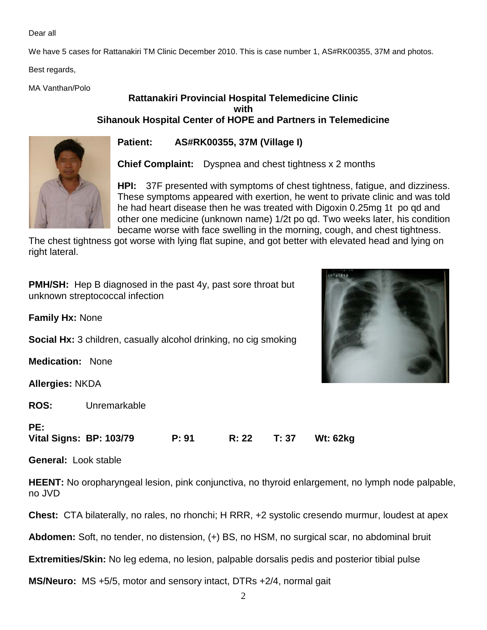Dear all

We have 5 cases for Rattanakiri TM Clinic December 2010. This is case number 1, AS#RK00355, 37M and photos.

Best regards,

MA Vanthan/Polo

# **Rattanakiri Provincial Hospital Telemedicine Clinic with Sihanouk Hospital Center of HOPE and Partners in Telemedicine**



**Patient: AS#RK00355, 37M (Village I)** 

**Chief Complaint:** Dyspnea and chest tightness x 2 months

**HPI:** 37F presented with symptoms of chest tightness, fatigue, and dizziness. These symptoms appeared with exertion, he went to private clinic and was told he had heart disease then he was treated with Digoxin 0.25mg 1t po qd and other one medicine (unknown name) 1/2t po qd. Two weeks later, his condition became worse with face swelling in the morning, cough, and chest tightness.

The chest tightness got worse with lying flat supine, and got better with elevated head and lying on right lateral.

**PMH/SH:** Hep B diagnosed in the past 4y, past sore throat but unknown streptococcal infection

**Family Hx:** None

**Social Hx:** 3 children, casually alcohol drinking, no cig smoking

**Medication:** None

**Allergies:** NKDA

**ROS:** Unremarkable



**PE:**

**Vital Signs: BP: 103/79 P: 91 R: 22 T: 37 Wt: 62kg**

**General:** Look stable

**HEENT:** No oropharyngeal lesion, pink conjunctiva, no thyroid enlargement, no lymph node palpable, no JVD

**Chest:** CTA bilaterally, no rales, no rhonchi; H RRR, +2 systolic cresendo murmur, loudest at apex

**Abdomen:** Soft, no tender, no distension, (+) BS, no HSM, no surgical scar, no abdominal bruit

**Extremities/Skin:** No leg edema, no lesion, palpable dorsalis pedis and posterior tibial pulse

**MS/Neuro:** MS +5/5, motor and sensory intact, DTRs +2/4, normal gait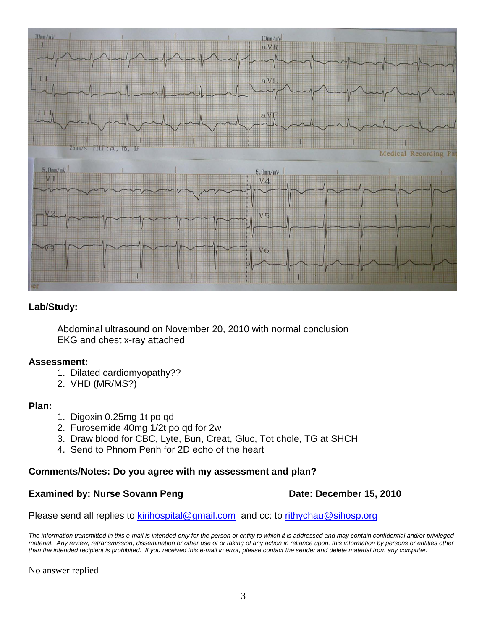

# **Lab/Study:**

Abdominal ultrasound on November 20, 2010 with normal conclusion EKG and chest x-ray attached

# **Assessment:**

- 1. Dilated cardiomyopathy??
- 2. VHD (MR/MS?)

# **Plan:**

- 1. Digoxin 0.25mg 1t po qd
- 2. Furosemide 40mg 1/2t po qd for 2w
- 3. Draw blood for CBC, Lyte, Bun, Creat, Gluc, Tot chole, TG at SHCH
- 4. Send to Phnom Penh for 2D echo of the heart

# **Comments/Notes: Do you agree with my assessment and plan?**

# **Examined by: Nurse Sovann Peng Date: December 15, 2010**

Please send all replies to [kirihospital@gmail.com](mailto:kirihospital@gmail.com) and cc: to [rithychau@sihosp.org](mailto:rithychau@sihosp.org)

*The information transmitted in this e-mail is intended only for the person or entity to which it is addressed and may contain confidential and/or privileged material. Any review, retransmission, dissemination or other use of or taking of any action in reliance upon, this information by persons or entities other than the intended recipient is prohibited. If you received this e-mail in error, please contact the sender and delete material from any computer.*

No answer replied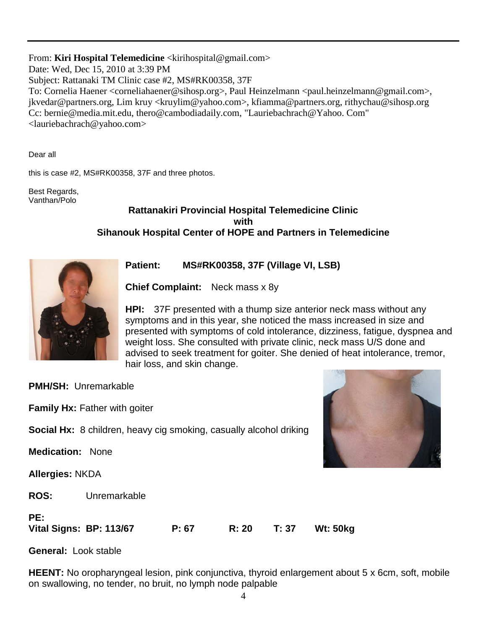From: **Kiri Hospital Telemedicine** <kirihospital@gmail.com> Date: Wed, Dec 15, 2010 at 3:39 PM Subject: Rattanaki TM Clinic case #2, MS#RK00358, 37F To: Cornelia Haener <corneliahaener@sihosp.org>, Paul Heinzelmann <paul.heinzelmann@gmail.com>, jkvedar@partners.org, Lim kruy <kruylim@yahoo.com>, kfiamma@partners.org, rithychau@sihosp.org Cc: bernie@media.mit.edu, thero@cambodiadaily.com, "Lauriebachrach@Yahoo. Com" <lauriebachrach@yahoo.com>

Dear all

this is case #2, MS#RK00358, 37F and three photos.

Best Regards, Vanthan/Polo

# **Rattanakiri Provincial Hospital Telemedicine Clinic with Sihanouk Hospital Center of HOPE and Partners in Telemedicine**



**Patient: MS#RK00358, 37F (Village VI, LSB)** 

**Chief Complaint:** Neck mass x 8y

**HPI:** 37F presented with a thump size anterior neck mass without any symptoms and in this year, she noticed the mass increased in size and presented with symptoms of cold intolerance, dizziness, fatigue, dyspnea and weight loss. She consulted with private clinic, neck mass U/S done and advised to seek treatment for goiter. She denied of heat intolerance, tremor, hair loss, and skin change.

**PMH/SH:** Unremarkable

**Family Hx:** Father with goiter

**Social Hx:** 8 children, heavy cig smoking, casually alcohol driking

**Medication:** None

**Allergies:** NKDA

**ROS:** Unremarkable

# **PE: Vital Signs: BP: 113/67 P: 67 R: 20 T: 37 Wt: 50kg**

**General:** Look stable

**HEENT:** No oropharyngeal lesion, pink conjunctiva, thyroid enlargement about 5 x 6cm, soft, mobile on swallowing, no tender, no bruit, no lymph node palpable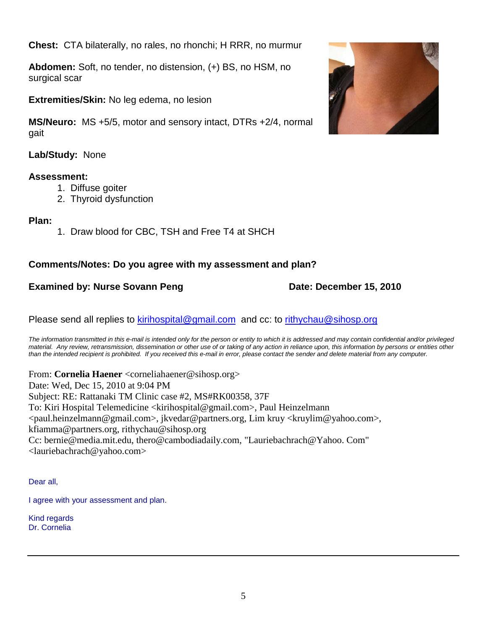**Chest:** CTA bilaterally, no rales, no rhonchi; H RRR, no murmur

**Abdomen:** Soft, no tender, no distension, (+) BS, no HSM, no surgical scar

**Extremities/Skin:** No leg edema, no lesion

**MS/Neuro:** MS +5/5, motor and sensory intact, DTRs +2/4, normal gait

**Lab/Study:** None

# **Assessment:**

- 1. Diffuse goiter
- 2. Thyroid dysfunction

# **Plan:**

1. Draw blood for CBC, TSH and Free T4 at SHCH

# **Comments/Notes: Do you agree with my assessment and plan?**

# **Examined by: Nurse Sovann Peng Date: December 15, 2010**

Please send all replies to [kirihospital@gmail.com](mailto:kirihospital@gmail.com) and cc: to [rithychau@sihosp.org](mailto:rithychau@sihosp.org)

*The information transmitted in this e-mail is intended only for the person or entity to which it is addressed and may contain confidential and/or privileged material. Any review, retransmission, dissemination or other use of or taking of any action in reliance upon, this information by persons or entities other than the intended recipient is prohibited. If you received this e-mail in error, please contact the sender and delete material from any computer.*

From: **Cornelia Haener** <corneliahaener@sihosp.org> Date: Wed, Dec 15, 2010 at 9:04 PM Subject: RE: Rattanaki TM Clinic case #2, MS#RK00358, 37F To: Kiri Hospital Telemedicine <kirihospital@gmail.com>, Paul Heinzelmann <paul.heinzelmann@gmail.com>, jkvedar@partners.org, Lim kruy <kruylim@yahoo.com>, kfiamma@partners.org, rithychau@sihosp.org Cc: bernie@media.mit.edu, thero@cambodiadaily.com, "Lauriebachrach@Yahoo. Com" <lauriebachrach@yahoo.com>

Dear all,

I agree with your assessment and plan.

Kind regards Dr. Cornelia

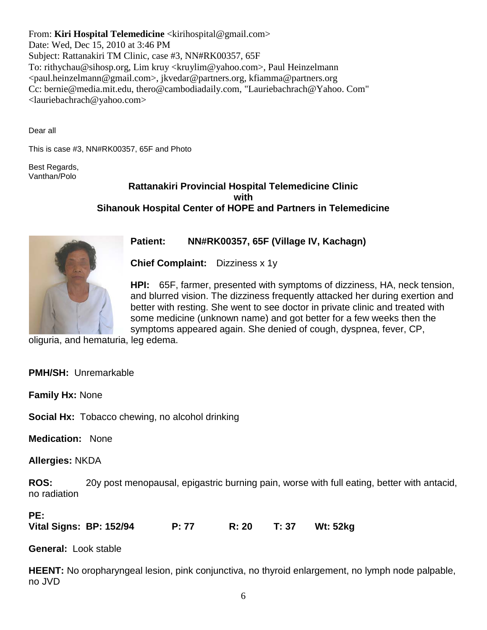From: **Kiri Hospital Telemedicine** <kirihospital@gmail.com> Date: Wed, Dec 15, 2010 at 3:46 PM Subject: Rattanakiri TM Clinic, case #3, NN#RK00357, 65F To: rithychau@sihosp.org, Lim kruy <kruylim@yahoo.com>, Paul Heinzelmann <paul.heinzelmann@gmail.com>, jkvedar@partners.org, kfiamma@partners.org Cc: bernie@media.mit.edu, thero@cambodiadaily.com, "Lauriebachrach@Yahoo. Com" <lauriebachrach@yahoo.com>

Dear all

This is case #3, NN#RK00357, 65F and Photo

Best Regards, Vanthan/Polo

# **Rattanakiri Provincial Hospital Telemedicine Clinic with Sihanouk Hospital Center of HOPE and Partners in Telemedicine**



**Patient: NN#RK00357, 65F (Village IV, Kachagn)** 

**Chief Complaint:** Dizziness x 1y

**HPI:** 65F, farmer, presented with symptoms of dizziness, HA, neck tension, and blurred vision. The dizziness frequently attacked her during exertion and better with resting. She went to see doctor in private clinic and treated with some medicine (unknown name) and got better for a few weeks then the symptoms appeared again. She denied of cough, dyspnea, fever, CP,

oliguria, and hematuria, leg edema.

**PMH/SH:** Unremarkable

**Family Hx:** None

**Social Hx:** Tobacco chewing, no alcohol drinking

**Medication:** None

**Allergies:** NKDA

**ROS:** 20y post menopausal, epigastric burning pain, worse with full eating, better with antacid, no radiation

#### **PE:**

**Vital Signs: BP: 152/94 P: 77 R: 20 T: 37 Wt: 52kg**

**General:** Look stable

**HEENT:** No oropharyngeal lesion, pink conjunctiva, no thyroid enlargement, no lymph node palpable, no JVD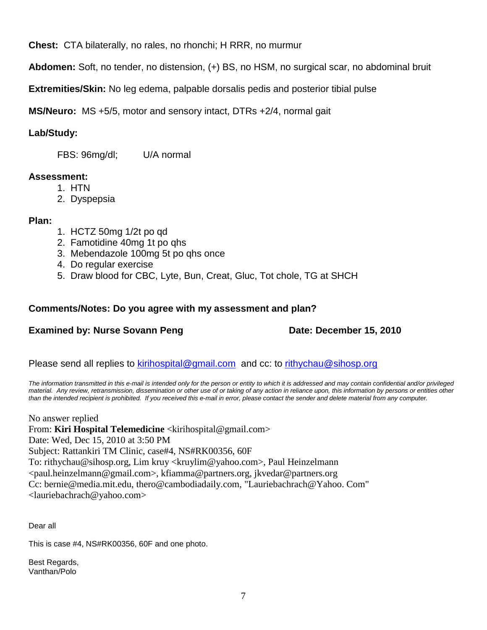**Chest:** CTA bilaterally, no rales, no rhonchi; H RRR, no murmur

**Abdomen:** Soft, no tender, no distension, (+) BS, no HSM, no surgical scar, no abdominal bruit

**Extremities/Skin:** No leg edema, palpable dorsalis pedis and posterior tibial pulse

**MS/Neuro:** MS +5/5, motor and sensory intact, DTRs +2/4, normal gait

# **Lab/Study:**

FBS: 96mg/dl; U/A normal

# **Assessment:**

- 1. HTN
- 2. Dyspepsia

# **Plan:**

- 1. HCTZ 50mg 1/2t po qd
- 2. Famotidine 40mg 1t po qhs
- 3. Mebendazole 100mg 5t po qhs once
- 4. Do regular exercise
- 5. Draw blood for CBC, Lyte, Bun, Creat, Gluc, Tot chole, TG at SHCH

# **Comments/Notes: Do you agree with my assessment and plan?**

# **Examined by: Nurse Sovann Peng Date: December 15, 2010**

Please send all replies to [kirihospital@gmail.com](mailto:kirihospital@gmail.com) and cc: to [rithychau@sihosp.org](mailto:rithychau@sihosp.org)

*The information transmitted in this e-mail is intended only for the person or entity to which it is addressed and may contain confidential and/or privileged material. Any review, retransmission, dissemination or other use of or taking of any action in reliance upon, this information by persons or entities other than the intended recipient is prohibited. If you received this e-mail in error, please contact the sender and delete material from any computer.*

No answer replied From: **Kiri Hospital Telemedicine** <kirihospital@gmail.com> Date: Wed, Dec 15, 2010 at 3:50 PM Subject: Rattankiri TM Clinic, case#4, NS#RK00356, 60F To: rithychau@sihosp.org, Lim kruy <kruylim@yahoo.com>, Paul Heinzelmann <paul.heinzelmann@gmail.com>, kfiamma@partners.org, jkvedar@partners.org Cc: bernie@media.mit.edu, thero@cambodiadaily.com, "Lauriebachrach@Yahoo. Com" <lauriebachrach@yahoo.com>

Dear all

This is case #4, NS#RK00356, 60F and one photo.

Best Regards, Vanthan/Polo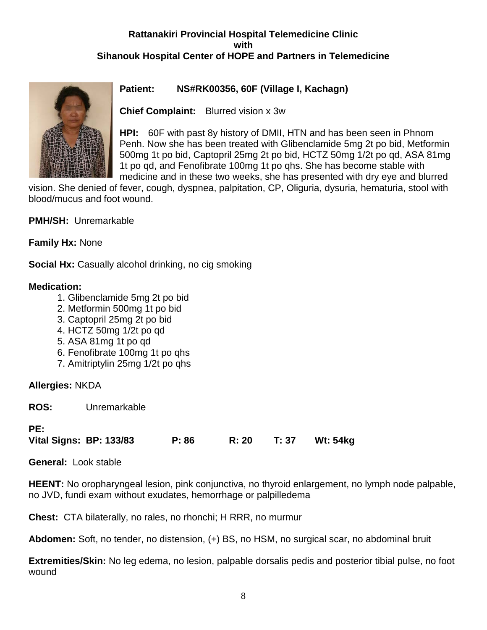# **Rattanakiri Provincial Hospital Telemedicine Clinic with Sihanouk Hospital Center of HOPE and Partners in Telemedicine**



# **Patient: NS#RK00356, 60F (Village I, Kachagn)**

**Chief Complaint:** Blurred vision x 3w

**HPI:** 60F with past 8y history of DMII, HTN and has been seen in Phnom Penh. Now she has been treated with Glibenclamide 5mg 2t po bid, Metformin 500mg 1t po bid, Captopril 25mg 2t po bid, HCTZ 50mg 1/2t po qd, ASA 81mg 1t po qd, and Fenofibrate 100mg 1t po qhs. She has become stable with medicine and in these two weeks, she has presented with dry eye and blurred

vision. She denied of fever, cough, dyspnea, palpitation, CP, Oliguria, dysuria, hematuria, stool with blood/mucus and foot wound.

**PMH/SH:** Unremarkable

**Family Hx:** None

**Social Hx:** Casually alcohol drinking, no cig smoking

# **Medication:**

- 1. Glibenclamide 5mg 2t po bid
- 2. Metformin 500mg 1t po bid
- 3. Captopril 25mg 2t po bid
- 4. HCTZ 50mg 1/2t po qd
- 5. ASA 81mg 1t po qd
- 6. Fenofibrate 100mg 1t po qhs
- 7. Amitriptylin 25mg 1/2t po qhs

# **Allergies:** NKDA

**ROS:** Unremarkable

# **PE:**

**Vital Signs: BP: 133/83 P: 86 R: 20 T: 37 Wt: 54kg**

**General:** Look stable

**HEENT:** No oropharyngeal lesion, pink conjunctiva, no thyroid enlargement, no lymph node palpable, no JVD, fundi exam without exudates, hemorrhage or palpilledema

**Chest:** CTA bilaterally, no rales, no rhonchi; H RRR, no murmur

**Abdomen:** Soft, no tender, no distension, (+) BS, no HSM, no surgical scar, no abdominal bruit

**Extremities/Skin:** No leg edema, no lesion, palpable dorsalis pedis and posterior tibial pulse, no foot wound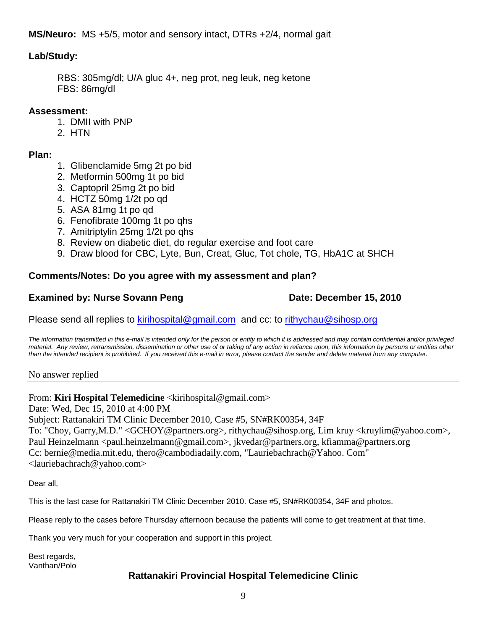**MS/Neuro:** MS +5/5, motor and sensory intact, DTRs +2/4, normal gait

# **Lab/Study:**

RBS: 305mg/dl; U/A gluc 4+, neg prot, neg leuk, neg ketone FBS: 86mg/dl

# **Assessment:**

- 1. DMII with PNP
- 2. HTN

# **Plan:**

- 1. Glibenclamide 5mg 2t po bid
- 2. Metformin 500mg 1t po bid
- 3. Captopril 25mg 2t po bid
- 4. HCTZ 50mg 1/2t po qd
- 5. ASA 81mg 1t po qd
- 6. Fenofibrate 100mg 1t po qhs
- 7. Amitriptylin 25mg 1/2t po qhs
- 8. Review on diabetic diet, do regular exercise and foot care
- 9. Draw blood for CBC, Lyte, Bun, Creat, Gluc, Tot chole, TG, HbA1C at SHCH

# **Comments/Notes: Do you agree with my assessment and plan?**

# **Examined by: Nurse Sovann Peng Date: December 15, 2010**

Please send all replies to [kirihospital@gmail.com](mailto:kirihospital@gmail.com) and cc: to [rithychau@sihosp.org](mailto:rithychau@sihosp.org)

*The information transmitted in this e-mail is intended only for the person or entity to which it is addressed and may contain confidential and/or privileged*  material. Any review, retransmission, dissemination or other use of or taking of any action in reliance upon, this information by persons or entities other *than the intended recipient is prohibited. If you received this e-mail in error, please contact the sender and delete material from any computer.*

No answer replied

# From: **Kiri Hospital Telemedicine** <kirihospital@gmail.com>

Date: Wed, Dec 15, 2010 at 4:00 PM

Subject: Rattanakiri TM Clinic December 2010, Case #5, SN#RK00354, 34F

To: "Choy, Garry,M.D." <GCHOY@partners.org>, rithychau@sihosp.org, Lim kruy <kruylim@yahoo.com>, Paul Heinzelmann <paul.heinzelmann@gmail.com>, jkvedar@partners.org, kfiamma@partners.org Cc: bernie@media.mit.edu, thero@cambodiadaily.com, "Lauriebachrach@Yahoo. Com" <lauriebachrach@yahoo.com>

Dear all,

This is the last case for Rattanakiri TM Clinic December 2010. Case #5, SN#RK00354, 34F and photos.

Please reply to the cases before Thursday afternoon because the patients will come to get treatment at that time.

Thank you very much for your cooperation and support in this project.

Best regards, Vanthan/Polo

# **Rattanakiri Provincial Hospital Telemedicine Clinic**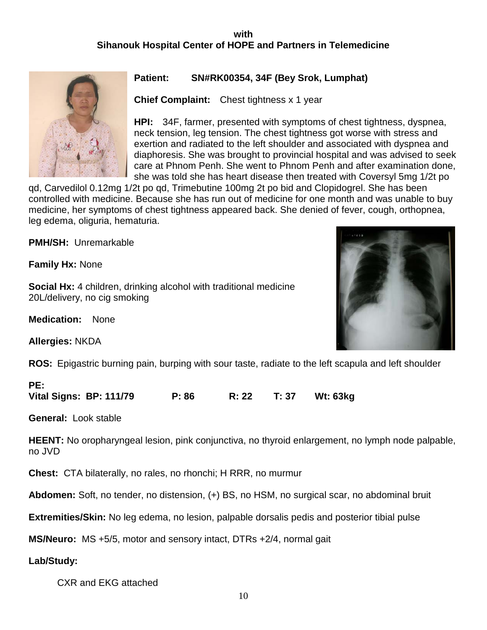# **with Sihanouk Hospital Center of HOPE and Partners in Telemedicine**



# **Patient: SN#RK00354, 34F (Bey Srok, Lumphat)**

**Chief Complaint:** Chest tightness x 1 year

**HPI:** 34F, farmer, presented with symptoms of chest tightness, dyspnea, neck tension, leg tension. The chest tightness got worse with stress and exertion and radiated to the left shoulder and associated with dyspnea and diaphoresis. She was brought to provincial hospital and was advised to seek care at Phnom Penh. She went to Phnom Penh and after examination done, she was told she has heart disease then treated with Coversyl 5mg 1/2t po

qd, Carvedilol 0.12mg 1/2t po qd, Trimebutine 100mg 2t po bid and Clopidogrel. She has been controlled with medicine. Because she has run out of medicine for one month and was unable to buy medicine, her symptoms of chest tightness appeared back. She denied of fever, cough, orthopnea, leg edema, oliguria, hematuria.

**PMH/SH:** Unremarkable

**Family Hx:** None

**Social Hx:** 4 children, drinking alcohol with traditional medicine 20L/delivery, no cig smoking

**Medication:** None

**Allergies:** NKDA

**ROS:** Epigastric burning pain, burping with sour taste, radiate to the left scapula and left shoulder

### **PE:**

**Vital Signs: BP: 111/79 P: 86 R: 22 T: 37 Wt: 63kg**

**General:** Look stable

**HEENT:** No oropharyngeal lesion, pink conjunctiva, no thyroid enlargement, no lymph node palpable, no JVD

**Chest:** CTA bilaterally, no rales, no rhonchi; H RRR, no murmur

**Abdomen:** Soft, no tender, no distension, (+) BS, no HSM, no surgical scar, no abdominal bruit

**Extremities/Skin:** No leg edema, no lesion, palpable dorsalis pedis and posterior tibial pulse

**MS/Neuro:** MS +5/5, motor and sensory intact, DTRs +2/4, normal gait

**Lab/Study:** 

CXR and EKG attached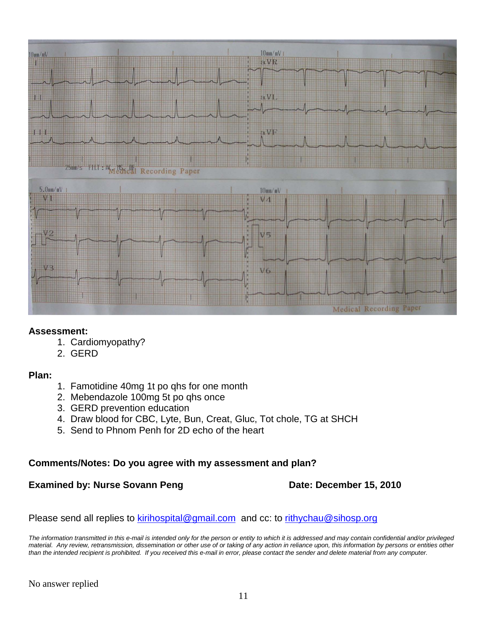

# **Assessment:**

- 1. Cardiomyopathy?
- 2. GERD

# **Plan:**

- 1. Famotidine 40mg 1t po qhs for one month
- 2. Mebendazole 100mg 5t po qhs once
- 3. GERD prevention education
- 4. Draw blood for CBC, Lyte, Bun, Creat, Gluc, Tot chole, TG at SHCH
- 5. Send to Phnom Penh for 2D echo of the heart

# **Comments/Notes: Do you agree with my assessment and plan?**

# **Examined by: Nurse Sovann Peng Date: December 15, 2010**

Please send all replies to [kirihospital@gmail.com](mailto:kirihospital@gmail.com) and cc: to [rithychau@sihosp.org](mailto:rithychau@sihosp.org)

*The information transmitted in this e-mail is intended only for the person or entity to which it is addressed and may contain confidential and/or privileged material. Any review, retransmission, dissemination or other use of or taking of any action in reliance upon, this information by persons or entities other than the intended recipient is prohibited. If you received this e-mail in error, please contact the sender and delete material from any computer.*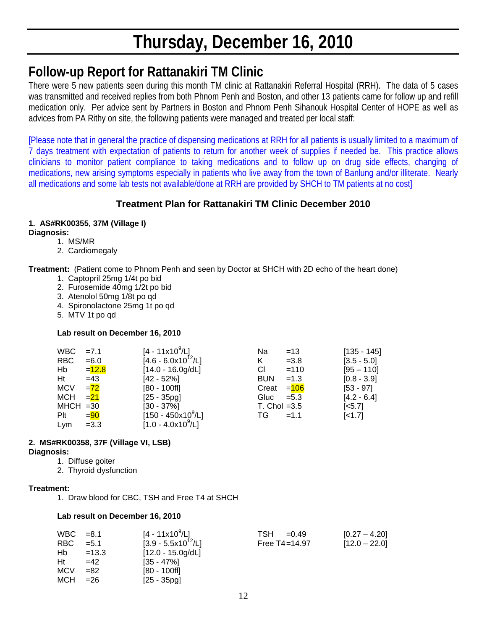# **Thursday, December 16, 2010**

# **Follow-up Report for Rattanakiri TM Clinic**

There were 5 new patients seen during this month TM clinic at Rattanakiri Referral Hospital (RRH). The data of 5 cases was transmitted and received replies from both Phnom Penh and Boston, and other 13 patients came for follow up and refill medication only. Per advice sent by Partners in Boston and Phnom Penh Sihanouk Hospital Center of HOPE as well as advices from PA Rithy on site, the following patients were managed and treated per local staff:

[Please note that in general the practice of dispensing medications at RRH for all patients is usually limited to a maximum of 7 days treatment with expectation of patients to return for another week of supplies if needed be. This practice allows clinicians to monitor patient compliance to taking medications and to follow up on drug side effects, changing of medications, new arising symptoms especially in patients who live away from the town of Banlung and/or illiterate. Nearly all medications and some lab tests not available/done at RRH are provided by SHCH to TM patients at no cost]

# **Treatment Plan for Rattanakiri TM Clinic December 2010**

# **1. AS#RK00355, 37M (Village I)**

**Diagnosis:**

- 1. MS/MR
- 2. Cardiomegaly

**Treatment:** (Patient come to Phnom Penh and seen by Doctor at SHCH with 2D echo of the heart done)

- 1. Captopril 25mg 1/4t po bid
- 2. Furosemide 40mg 1/2t po bid
- 3. Atenolol 50mg 1/8t po qd
- 4. Spironolactone 25mg 1t po qd
- 5. MTV 1t po qd

### **Lab result on December 16, 2010**

| $WBC = 7.1$         |          | [4 - 11x10 <sup>9</sup> /L] | Na             | $=13$              | $[135 - 145]$      |
|---------------------|----------|-----------------------------|----------------|--------------------|--------------------|
| <b>RBC</b>          | $= 6.0$  | $[4.6 - 6.0x10^{12}/L]$     | K              | $=3.8$             | $[3.5 - 5.0]$      |
| Hb                  | $=$ 12.8 | $[14.0 - 16.0g/dL]$         | CI.            | $=110$             | $[95 - 110]$       |
| Ht                  | $=43$    | $[42 - 52\%]$               | <b>BUN</b>     | $=1.3$             | $[0.8 - 3.9]$      |
| <b>MCV</b>          | $= 72$   | $[80 - 100$ fl]             | Creat          | = <mark>106</mark> | $[53 - 97]$        |
| MCH $=\frac{21}{2}$ |          | $[25 - 35pg]$               | Gluc $=5.3$    |                    | $[4.2 - 6.4]$      |
| $MHCH = 30$         |          | $[30 - 37\%]$               | T. Chol $=3.5$ |                    | [ <sub>5.7</sub> ] |
| Plt                 | $= 90$   | $[150 - 450x10^9/L]$        | TG a           | $=1.1$             | $[-1.7]$           |
| Lym                 | $=3.3$   | $[1.0 - 4.0x10^9/L]$        |                |                    |                    |

#### **2. MS#RK00358, 37F (Village VI, LSB) Diagnosis:**

1. Diffuse goiter 2. Thyroid dysfunction

#### **Treatment:**

1. Draw blood for CBC, TSH and Free T4 at SHCH

#### **Lab result on December 16, 2010**

| WBC        | $=8.1$  | $[4 - 11 \times 10^9/L]$ | TSH<br>$= 0.49$   | $[0.27 - 4.20]$ |
|------------|---------|--------------------------|-------------------|-----------------|
| RBC.       | $=$ 5.1 | $[3.9 - 5.5x10^{12}/L]$  | Free $T4 = 14.97$ | $[12.0 - 22.0]$ |
| Hb         | $=13.3$ | $[12.0 - 15.0g/dL]$      |                   |                 |
| Ht         | $=42$   | $[35 - 47\%]$            |                   |                 |
| <b>MCV</b> | $=82$   | [80 - 100fl]             |                   |                 |
| MCH        | $= 26$  | [25 - 35pg]              |                   |                 |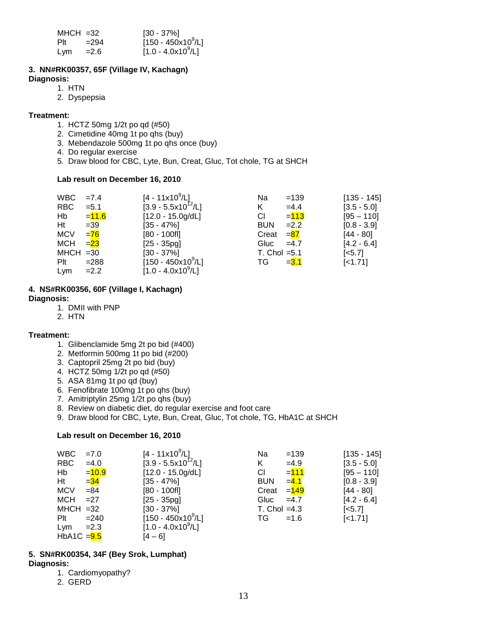| $MHCH = 32$ |         | $[30 - 37\%]$                  |
|-------------|---------|--------------------------------|
| Plt         | $= 294$ | $[150 - 450x10^9/L]$           |
| Lym         | $= 2.6$ | [1.0 - 4.0x10 <sup>9</sup> /L] |

#### **3. NN#RK00357, 65F (Village IV, Kachagn)**

**Diagnosis:**

- 1. HTN
- 2. Dyspepsia

#### **Treatment:**

- 1. HCTZ 50mg 1/2t po qd (#50)
- 2. Cimetidine 40mg 1t po qhs (buy)
- 3. Mebendazole 500mg 1t po qhs once (buy)
- 4. Do regular exercise
- 5. Draw blood for CBC, Lyte, Bun, Creat, Gluc, Tot chole, TG at SHCH

#### **Lab result on December 16, 2010**

| <b>WBC</b>  | $=7.4$   | $[4 - 11 \times 10^9/\text{L}]$ | Na                | $=139$  | $[135 - 145]$         |
|-------------|----------|---------------------------------|-------------------|---------|-----------------------|
| <b>RBC</b>  | $= 5.1$  | $[3.9 - 5.5x10^{12}/L]$         | K.                | $=4.4$  | $[3.5 - 5.0]$         |
| Hb          | $= 11.6$ | $[12.0 - 15.0g/dL]$             | СI                | $= 113$ | $[95 - 110]$          |
| Ht          | $=39$    | $[35 - 47\%]$                   | <b>BUN</b>        | $=2.2$  | $[0.8 - 3.9]$         |
| <b>MCV</b>  | $= 76$   | $[80 - 100f]$                   | Creat             | $= 87$  | $[44 - 80]$           |
| <b>MCH</b>  | $= 23$   | $[25 - 35pq]$                   | Gluc              | $=4.7$  | $[4.2 - 6.4]$         |
| $MHCH = 30$ |          | $[30 - 37\%]$                   | $T.$ Chol = $5.1$ |         | $\left[ <5.7 \right]$ |
| $P$ lt      | $= 288$  | $[150 - 450x10^9/L]$            | TG.               | $= 3.1$ | [<1.71]               |
| Lym         | $=2.2$   | $[1.0 - 4.0x109/L]$             |                   |         |                       |

# **4. NS#RK00356, 60F (Village I, Kachagn)**

#### **Diagnosis:**

- 1. DMII with PNP
- 2. HTN

#### **Treatment:**

- 1. Glibenclamide 5mg 2t po bid (#400)
- 2. Metformin 500mg 1t po bid (#200)
- 3. Captopril 25mg 2t po bid (buy)
- 4. HCTZ 50mg 1/2t po qd (#50)
- 5. ASA 81mg 1t po qd (buy)
- 6. Fenofibrate 100mg 1t po qhs (buy)
- 7. Amitriptylin 25mg 1/2t po qhs (buy)
- 8. Review on diabetic diet, do regular exercise and foot care
- 9. Draw blood for CBC, Lyte, Bun, Creat, Gluc, Tot chole, TG, HbA1C at SHCH

#### **Lab result on December 16, 2010**

| WBC.          | $=7.0$   | $[4 - 11 \times 10^9/L]$ | Na             | $=139$             | $[135 - 145]$         |
|---------------|----------|--------------------------|----------------|--------------------|-----------------------|
| <b>RBC</b>    | $=4.0$   | $[3.9 - 5.5x10^{12}/L]$  | K              | $=4.9$             | $[3.5 - 5.0]$         |
| Hb            | $= 10.9$ | $[12.0 - 15.0g/dL]$      | СI             | $= 111$            | $[95 - 110]$          |
| Ht            | $= 34$   | $[35 - 47\%]$            | <b>BUN</b>     | $=4.1$             | $[0.8 - 3.9]$         |
| <b>MCV</b>    | $= 84$   | $[80 - 100$ fl]          | Creat          | = <mark>149</mark> | $[44 - 80]$           |
| <b>MCH</b>    | $=27$    | $[25 - 35pg]$            | Gluc           | $=4.7$             | $[4.2 - 6.4]$         |
| $MHCH = 32$   |          | $[30 - 37\%]$            | $T.$ Chol =4.3 |                    | $\left[ <5.7 \right]$ |
| Plt           | $= 240$  | $[150 - 450x10^9/L]$     | TG             | $=1.6$             | $[-1.71]$             |
| Lym           | $=2.3$   | $[1.0 - 4.0x10^9/L]$     |                |                    |                       |
| HbA1C $= 9.5$ |          | $[4 - 6]$                |                |                    |                       |

#### **5. SN#RK00354, 34F (Bey Srok, Lumphat) Diagnosis:**

- 1. Cardiomyopathy?
- 2. GERD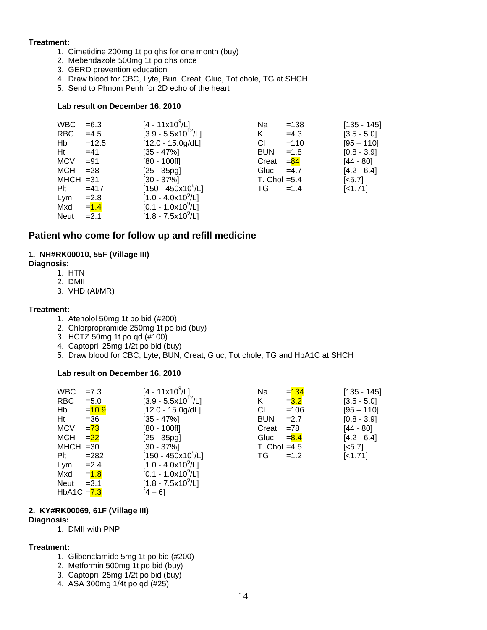#### **Treatment:**

- 1. Cimetidine 200mg 1t po qhs for one month (buy)
- 2. Mebendazole 500mg 1t po qhs once
- 3. GERD prevention education
- 4. Draw blood for CBC, Lyte, Bun, Creat, Gluc, Tot chole, TG at SHCH
- 5. Send to Phnom Penh for 2D echo of the heart

#### **Lab result on December 16, 2010**

| <b>WBC</b>  | $= 6.3$ | $[4 - 11x10^9/L]$       | Na             | $=138$          | $[135 - 145]$         |
|-------------|---------|-------------------------|----------------|-----------------|-----------------------|
| <b>RBC</b>  | $=4.5$  | $[3.9 - 5.5x10^{12}/L]$ | K              | $=4.3$          | $[3.5 - 5.0]$         |
| Hb          | $=12.5$ | $[12.0 - 15.0g/dL]$     | CI.            | $=110$          | $[95 - 110]$          |
| Ht          | $=41$   | $[35 - 47\%]$           | <b>BUN</b>     | $=1.8$          | $[0.8 - 3.9]$         |
| <b>MCV</b>  | $= 91$  | $[80 - 100$ fl]         | Creat          | $=\frac{84}{3}$ | $[44 - 80]$           |
| MCH         | $= 28$  | $[25 - 35pg]$           | Gluc           | $=4.7$          | $[4.2 - 6.4]$         |
| $MHCH = 31$ |         | $[30 - 37\%]$           | T. Chol $=5.4$ |                 | $\left[ <5.7 \right]$ |
| Plt         | $=417$  | $[150 - 450x10^9/L]$    | TG.            | $=1.4$          | $[-1.71]$             |
| Lym         | $=2.8$  | $[1.0 - 4.0x109/L]$     |                |                 |                       |
| Mxd         | $= 1.4$ | $[0.1 - 1.0x10^9/L]$    |                |                 |                       |
| <b>Neut</b> | $=2.1$  | $[1.8 - 7.5x10^9/L]$    |                |                 |                       |

#### **Patient who come for follow up and refill medicine**

#### **1. NH#RK00010, 55F (Village III)**

#### **Diagnosis:**

- 1. HTN
- 2. DMII
- 3. VHD (AI/MR)

#### **Treatment:**

- 1. Atenolol 50mg 1t po bid (#200)
- 2. Chlorpropramide 250mg 1t po bid (buy)
- 3. HCTZ 50mg 1t po qd (#100)
- 4. Captopril 25mg 1/2t po bid (buy)
- 5. Draw blood for CBC, Lyte, BUN, Creat, Gluc, Tot chole, TG and HbA1C at SHCH

#### **Lab result on December 16, 2010**

| <b>WBC</b>    | $=7.3$   | $[4 - 11x10^9/L]$                  | Na             | $= 134$ | $[135 - 145]$         |
|---------------|----------|------------------------------------|----------------|---------|-----------------------|
| <b>RBC</b>    | $= 5.0$  | $[3.9 - 5.5 \times 10^{12} / L]$   | Κ              | $= 3.2$ | $[3.5 - 5.0]$         |
| Hb            | $= 10.9$ | $[12.0 - 15.0g/dL]$                | CI.            | $=106$  | $[95 - 110]$          |
| Ht            | $= 36$   | [35 - 47%]                         | <b>BUN</b>     | $=2.7$  | $[0.8 - 3.9]$         |
| <b>MCV</b>    | $= 73$   | $[80 - 100f]$                      | Creat          | $= 78$  | [44 - 80]             |
| <b>MCH</b>    | $= 22$   | $[25 - 35pg]$                      | Gluc           | $= 8.4$ | $[4.2 - 6.4]$         |
| $MHCH = 30$   |          | $[30 - 37\%]$                      | T. Chol $=4.5$ |         | $\left[ <5.7 \right]$ |
| Plt           | $= 282$  | $[150 - 450 \times 10^9/\text{L}]$ | TG.            | $=1.2$  | $[-1.71]$             |
| Lym           | $=2.4$   | $[1.0 - 4.0x10^9/L]$               |                |         |                       |
| Mxd           | $= 1.8$  | $[0.1 - 1.0x10^{9}/L]$             |                |         |                       |
| Neut          | $=3.1$   | $[1.8 - 7.5x10^9/L]$               |                |         |                       |
| HbA1C $= 7.3$ |          | [4 – 6]                            |                |         |                       |

#### **2. KY#RK00069, 61F (Village III)**

#### **Diagnosis:**

1. DMII with PNP

#### **Treatment:**

- 1. Glibenclamide 5mg 1t po bid (#200)
- 2. Metformin 500mg 1t po bid (buy)
- 3. Captopril 25mg 1/2t po bid (buy)
- 4. ASA 300mg 1/4t po qd (#25)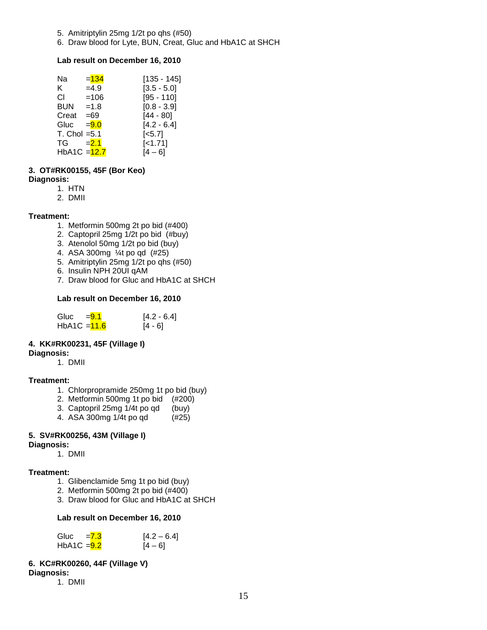- 5. Amitriptylin 25mg 1/2t po qhs (#50)
- 6. Draw blood for Lyte, BUN, Creat, Gluc and HbA1C at SHCH

#### **Lab result on December 16, 2010**

| Na                                                                                                                                                                                                                             | $= 134$ | $[135 - 145]$         |
|--------------------------------------------------------------------------------------------------------------------------------------------------------------------------------------------------------------------------------|---------|-----------------------|
| K.                                                                                                                                                                                                                             | $=4.9$  | $[3.5 - 5.0]$         |
| СI                                                                                                                                                                                                                             | $=106$  | $[95 - 110]$          |
| BUN                                                                                                                                                                                                                            | $=1.8$  | $[0.8 - 3.9]$         |
| Creat                                                                                                                                                                                                                          | $=69$   | $[44 - 80]$           |
| Gluc                                                                                                                                                                                                                           | $= 9.0$ | $[4.2 - 6.4]$         |
| $T.$ Chol = $5.1$                                                                                                                                                                                                              |         | $\left[ <5.7 \right]$ |
| TG and the set of the set of the set of the set of the set of the set of the set of the set of the set of the set of the set of the set of the set of the set of the set of the set of the set of the set of the set of the se | $= 2.1$ | $[-1.71]$             |
| HbA1C = 12.7                                                                                                                                                                                                                   |         | [4 – 6]               |
|                                                                                                                                                                                                                                |         |                       |

### **3. OT#RK00155, 45F (Bor Keo)**

- **Diagnosis:**
	- 1. HTN
	- 2. DMII

#### **Treatment:**

- 1. Metformin 500mg 2t po bid (#400)
- 2. Captopril 25mg 1/2t po bid (#buy)
- 3. Atenolol 50mg 1/2t po bid (buy)
- 4. ASA 300mg ¼t po qd (#25)
- 5. Amitriptylin 25mg 1/2t po qhs (#50)
- 6. Insulin NPH 20UI qAM
- 7. Draw blood for Gluc and HbA1C at SHCH

#### **Lab result on December 16, 2010**

| Gluc           | $= 9.1$ | $[4.2 - 6.4]$ |
|----------------|---------|---------------|
| HbA1C $=$ 11.6 |         | $[4 - 6]$     |

# **4. KK#RK00231, 45F (Village I)**

**Diagnosis:** 

1. DMII

#### **Treatment:**

- 1. Chlorpropramide 250mg 1t po bid (buy)
- 2. Metformin 500mg 1t po bid (#200)
- 3. Captopril 25mg  $\frac{1}{4}$  po qd (buy)<br>4. ASA 300mg  $\frac{1}{4}$  po qd (#25)
- 4. ASA 300mg 1/4t po qd

#### **5. SV#RK00256, 43M (Village I)**

- **Diagnosis:** 
	- 1. DMII

#### **Treatment:**

- 1. Glibenclamide 5mg 1t po bid (buy)
- 2. Metformin 500mg 2t po bid (#400)
- 3. Draw blood for Gluc and HbA1C at SHCH

#### **Lab result on December 16, 2010**

| Gluc          | $= 7.3$ | $[4.2 - 6.4]$ |
|---------------|---------|---------------|
| $HbA1C = 9.2$ |         | $[4 - 6]$     |

### **6. KC#RK00260, 44F (Village V)**

**Diagnosis:** 

1. DMII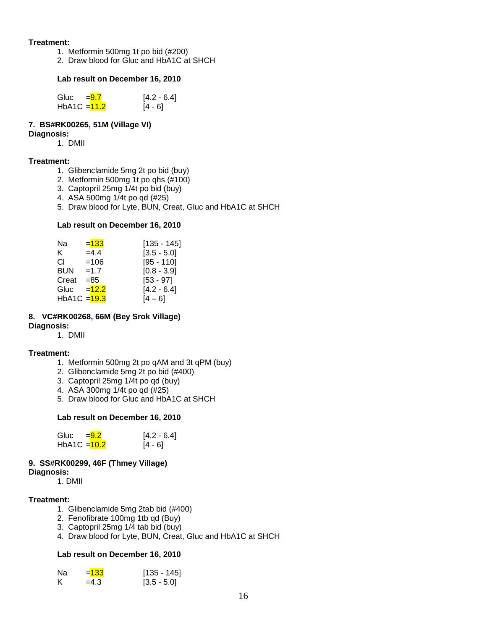#### **Treatment:**

- 1. Metformin 500mg 1t po bid (#200)
- 2. Draw blood for Gluc and HbA1C at SHCH

#### **Lab result on December 16, 2010**

| Gluc           | $= 9.7$ | $[4.2 - 6.4]$ |
|----------------|---------|---------------|
| $HbA1C = 11.2$ |         | [4 - 6]       |

#### **7. BS#RK00265, 51M (Village VI)**

#### **Diagnosis:**

1. DMII

#### **Treatment:**

- 1. Glibenclamide 5mg 2t po bid (buy)
- 2. Metformin 500mg 1t po qhs (#100)
- 3. Captopril 25mg 1/4t po bid (buy)
- 4. ASA 500mg 1/4t po qd (#25)
- 5. Draw blood for Lyte, BUN, Creat, Gluc and HbA1C at SHCH

#### **Lab result on December 16, 2010**

| Na           | $= 133$ | [135 - 145]   |
|--------------|---------|---------------|
| K.           | $=4.4$  | $[3.5 - 5.0]$ |
| СI           | $=106$  | $[95 - 110]$  |
| BUN          | $=1.7$  | $[0.8 - 3.9]$ |
| Creat        | $= 85$  | $[53 - 97]$   |
| Gluc         | $=12.2$ | $[4.2 - 6.4]$ |
| HbA1C = 19.3 |         | [4 – 6]       |

#### **8. VC#RK00268, 66M (Bey Srok Village)**

#### **Diagnosis:**

1. DMII

#### **Treatment:**

- 1. Metformin 500mg 2t po qAM and 3t qPM (buy)
- 2. Glibenclamide 5mg 2t po bid (#400)
- 3. Captopril 25mg 1/4t po qd (buy)
- 4. ASA 300mg 1/4t po qd (#25)
- 5. Draw blood for Gluc and HbA1C at SHCH

#### **Lab result on December 16, 2010**

| Gluc           | $= 9.2$ | $[4.2 - 6.4]$ |
|----------------|---------|---------------|
| HbA1C $=$ 10.2 |         | [4 - 6]       |

#### **9. SS#RK00299, 46F (Thmey Village)**

**Diagnosis:** 

1. DMII

#### **Treatment:**

- 1. Glibenclamide 5mg 2tab bid (#400)
- 2. Fenofibrate 100mg 1tb qd (Buy)
- 3. Captopril 25mg 1/4 tab bid (buy)
- 4. Draw blood for Lyte, BUN, Creat, Gluc and HbA1C at SHCH

#### **Lab result on December 16, 2010**

| Na | $= 133$ | $[135 - 145]$ |
|----|---------|---------------|
| К  | $=4.3$  | $[3.5 - 5.0]$ |